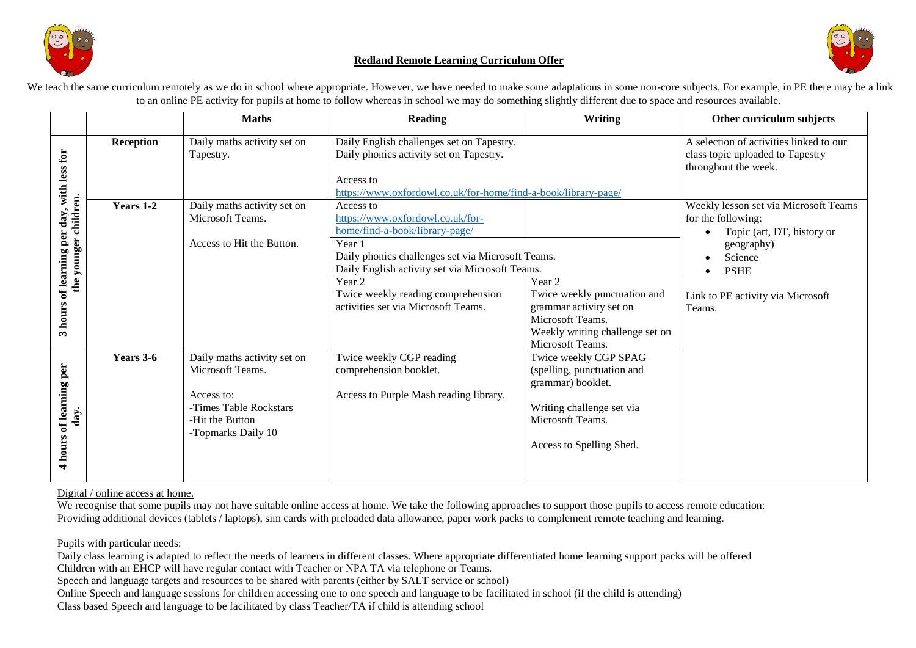

#### **Redland Remote Learning Curriculum Offer**



We teach the same curriculum remotely as we do in school where appropriate. However, we have needed to make some adaptations in some non-core subjects. For example, in PE there may be a link to an online PE activity for pupils at home to follow whereas in school we may do something slightly different due to space and resources available.

|                                                            |                  | <b>Maths</b>                                                                                                                     | <b>Reading</b>                                                                                                                                                                                                                                                                                                                                             | <b>Writing</b>                                                                                                                                        | Other curriculum subjects                                                                                                                                                        |
|------------------------------------------------------------|------------------|----------------------------------------------------------------------------------------------------------------------------------|------------------------------------------------------------------------------------------------------------------------------------------------------------------------------------------------------------------------------------------------------------------------------------------------------------------------------------------------------------|-------------------------------------------------------------------------------------------------------------------------------------------------------|----------------------------------------------------------------------------------------------------------------------------------------------------------------------------------|
| , with less for                                            | <b>Reception</b> | Daily maths activity set on<br>Tapestry.                                                                                         | Daily English challenges set on Tapestry.<br>Daily phonics activity set on Tapestry.<br>Access to                                                                                                                                                                                                                                                          |                                                                                                                                                       | A selection of activities linked to our<br>class topic uploaded to Tapestry<br>throughout the week.                                                                              |
| the younger children.<br>day<br>of learning per<br>3 hours | <b>Years 1-2</b> | Daily maths activity set on<br>Microsoft Teams.<br>Access to Hit the Button.                                                     | https://www.oxfordowl.co.uk/for-home/find-a-book/library-page/<br>Access to<br>https://www.oxfordowl.co.uk/for-<br>home/find-a-book/library-page/<br>Year 1<br>Daily phonics challenges set via Microsoft Teams.<br>Daily English activity set via Microsoft Teams.<br>Year 2<br>Twice weekly reading comprehension<br>activities set via Microsoft Teams. | Year 2<br>Twice weekly punctuation and<br>grammar activity set on<br>Microsoft Teams.<br>Weekly writing challenge set on<br>Microsoft Teams.          | Weekly lesson set via Microsoft Teams<br>for the following:<br>Topic (art, DT, history or<br>geography)<br>Science<br><b>PSHE</b><br>Link to PE activity via Microsoft<br>Teams. |
| of learning per<br>day.<br>4 hours                         | Years 3-6        | Daily maths activity set on<br>Microsoft Teams.<br>Access to:<br>-Times Table Rockstars<br>-Hit the Button<br>-Topmarks Daily 10 | Twice weekly CGP reading<br>comprehension booklet.<br>Access to Purple Mash reading library.                                                                                                                                                                                                                                                               | Twice weekly CGP SPAG<br>(spelling, punctuation and<br>grammar) booklet.<br>Writing challenge set via<br>Microsoft Teams.<br>Access to Spelling Shed. |                                                                                                                                                                                  |

Digital / online access at home.

We recognise that some pupils may not have suitable online access at home. We take the following approaches to support those pupils to access remote education: Providing additional devices (tablets / laptops), sim cards with preloaded data allowance, paper work packs to complement remote teaching and learning.

Pupils with particular needs:

Daily class learning is adapted to reflect the needs of learners in different classes. Where appropriate differentiated home learning support packs will be offered Children with an EHCP will have regular contact with Teacher or NPA TA via telephone or Teams.

Speech and language targets and resources to be shared with parents (either by SALT service or school)

Online Speech and language sessions for children accessing one to one speech and language to be facilitated in school (if the child is attending)

Class based Speech and language to be facilitated by class Teacher/TA if child is attending school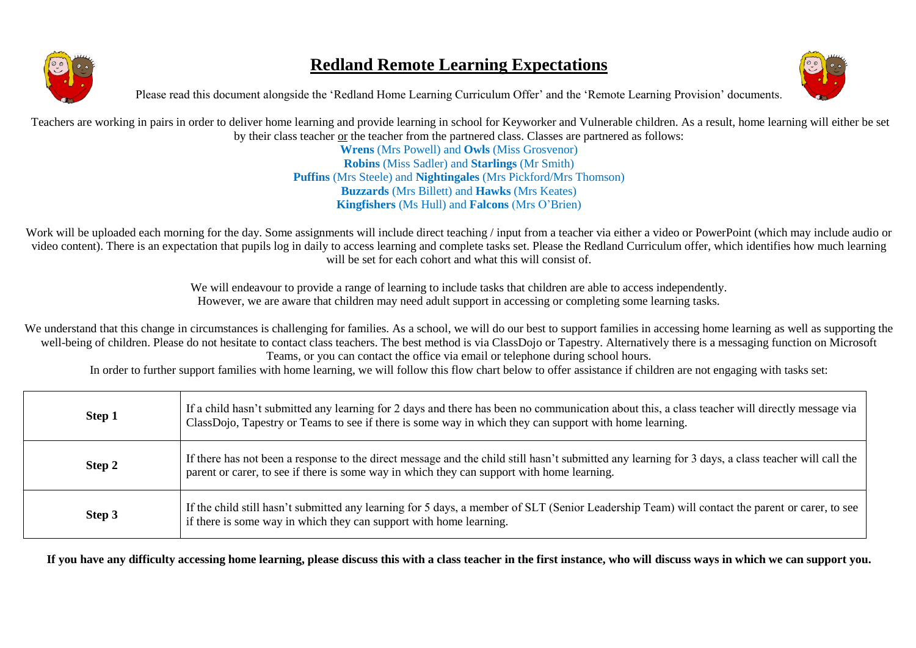

## **Redland Remote Learning Expectations**



Please read this document alongside the 'Redland Home Learning Curriculum Offer' and the 'Remote Learning Provision' documents.

Teachers are working in pairs in order to deliver home learning and provide learning in school for Keyworker and Vulnerable children. As a result, home learning will either be set by their class teacher or the teacher from the partnered class. Classes are partnered as follows:

**Wrens** (Mrs Powell) and **Owls** (Miss Grosvenor) **Robins** (Miss Sadler) and **Starlings** (Mr Smith) **Puffins** (Mrs Steele) and **Nightingales** (Mrs Pickford/Mrs Thomson) **Buzzards** (Mrs Billett) and **Hawks** (Mrs Keates) **Kingfishers** (Ms Hull) and **Falcons** (Mrs O'Brien)

Work will be uploaded each morning for the day. Some assignments will include direct teaching / input from a teacher via either a video or PowerPoint (which may include audio or video content). There is an expectation that pupils log in daily to access learning and complete tasks set. Please the Redland Curriculum offer, which identifies how much learning will be set for each cohort and what this will consist of.

> We will endeavour to provide a range of learning to include tasks that children are able to access independently. However, we are aware that children may need adult support in accessing or completing some learning tasks.

We understand that this change in circumstances is challenging for families. As a school, we will do our best to support families in accessing home learning as well as supporting the well-being of children. Please do not hesitate to contact class teachers. The best method is via ClassDojo or Tapestry. Alternatively there is a messaging function on Microsoft Teams, or you can contact the office via email or telephone during school hours.

In order to further support families with home learning, we will follow this flow chart below to offer assistance if children are not engaging with tasks set:

| Step 1 | If a child hasn't submitted any learning for 2 days and there has been no communication about this, a class teacher will directly message via<br>ClassDojo, Tapestry or Teams to see if there is some way in which they can support with home learning. |  |
|--------|---------------------------------------------------------------------------------------------------------------------------------------------------------------------------------------------------------------------------------------------------------|--|
| Step 2 | If there has not been a response to the direct message and the child still hasn't submitted any learning for 3 days, a class teacher will call the<br>parent or carer, to see if there is some way in which they can support with home learning.        |  |
| Step 3 | If the child still hasn't submitted any learning for 5 days, a member of SLT (Senior Leadership Team) will contact the parent or carer, to see<br>if there is some way in which they can support with home learning.                                    |  |

**If you have any difficulty accessing home learning, please discuss this with a class teacher in the first instance, who will discuss ways in which we can support you.**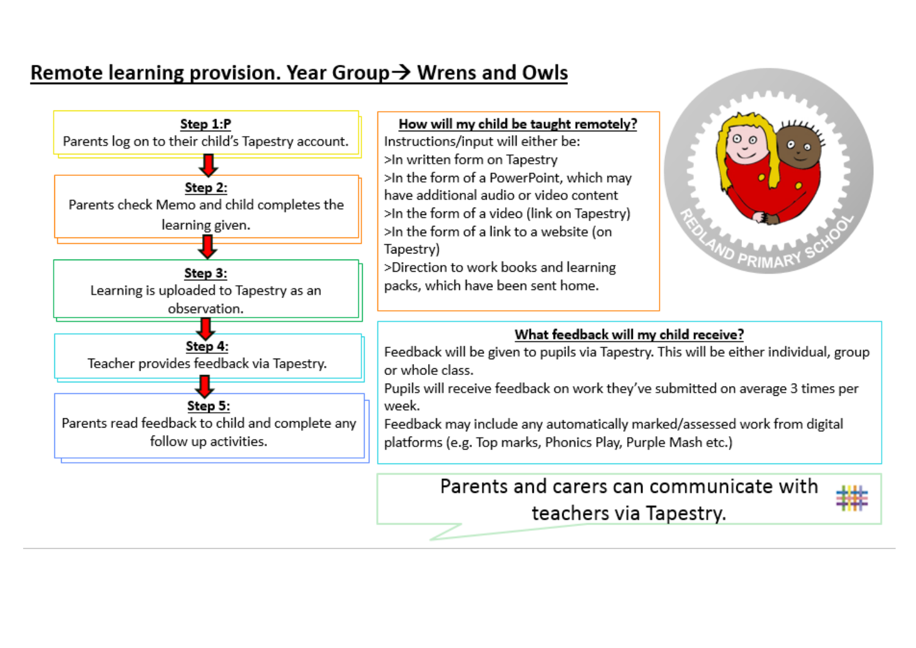# Remote learning provision. Year Group  $\rightarrow$  Wrens and Owls



#### How will my child be taught remotely?

Instructions/input will either be: >In written form on Tapestry >In the form of a PowerPoint, which may have additional audio or video content >In the form of a video (link on Tapestry) >In the form of a link to a website (on Tapestry)

>Direction to work books and learning packs, which have been sent home.



### What feedback will my child receive?

Feedback will be given to pupils via Tapestry. This will be either individual, group or whole class.

Pupils will receive feedback on work they've submitted on average 3 times per week.

Feedback may include any automatically marked/assessed work from digital platforms (e.g. Top marks, Phonics Play, Purple Mash etc.)

> Parents and carers can communicate with teachers via Tapestry.